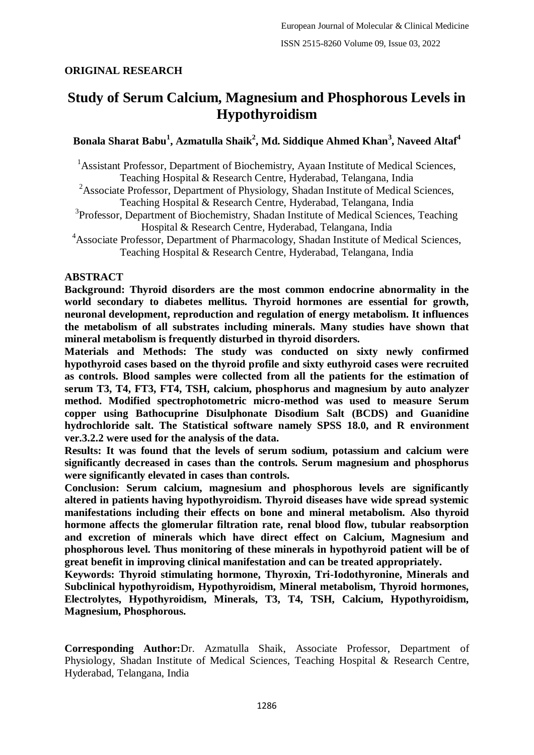# **ORIGINAL RESEARCH**

# **Study of Serum Calcium, Magnesium and Phosphorous Levels in Hypothyroidism**

# **Bonala Sharat Babu<sup>1</sup> , Azmatulla Shaik<sup>2</sup> , Md. Siddique Ahmed Khan<sup>3</sup> , Naveed Altaf<sup>4</sup>**

<sup>1</sup> Assistant Professor, Department of Biochemistry, Ayaan Institute of Medical Sciences, Teaching Hospital & Research Centre, Hyderabad, Telangana, India

- <sup>2</sup>Associate Professor, Department of Physiology, Shadan Institute of Medical Sciences, Teaching Hospital & Research Centre, Hyderabad, Telangana, India
- <sup>3</sup>Professor, Department of Biochemistry, Shadan Institute of Medical Sciences, Teaching Hospital & Research Centre, Hyderabad, Telangana, India
- <sup>4</sup>Associate Professor, Department of Pharmacology, Shadan Institute of Medical Sciences, Teaching Hospital & Research Centre, Hyderabad, Telangana, India

#### **ABSTRACT**

**Background: Thyroid disorders are the most common endocrine abnormality in the world secondary to diabetes mellitus. Thyroid hormones are essential for growth, neuronal development, reproduction and regulation of energy metabolism. It influences the metabolism of all substrates including minerals. Many studies have shown that mineral metabolism is frequently disturbed in thyroid disorders.**

**Materials and Methods: The study was conducted on sixty newly confirmed hypothyroid cases based on the thyroid profile and sixty euthyroid cases were recruited as controls. Blood samples were collected from all the patients for the estimation of serum T3, T4, FT3, FT4, TSH, calcium, phosphorus and magnesium by auto analyzer method. Modified spectrophotometric micro-method was used to measure Serum copper using Bathocuprine Disulphonate Disodium Salt (BCDS) and Guanidine hydrochloride salt. The Statistical software namely SPSS 18.0, and R environment ver.3.2.2 were used for the analysis of the data.**

**Results: It was found that the levels of serum sodium, potassium and calcium were significantly decreased in cases than the controls. Serum magnesium and phosphorus were significantly elevated in cases than controls.**

**Conclusion: Serum calcium, magnesium and phosphorous levels are significantly altered in patients having hypothyroidism. Thyroid diseases have wide spread systemic manifestations including their effects on bone and mineral metabolism. Also thyroid hormone affects the glomerular filtration rate, renal blood flow, tubular reabsorption and excretion of minerals which have direct effect on Calcium, Magnesium and phosphorous level. Thus monitoring of these minerals in hypothyroid patient will be of great benefit in improving clinical manifestation and can be treated appropriately.**

**Keywords: Thyroid stimulating hormone, Thyroxin, Tri-Iodothyronine, Minerals and Subclinical hypothyroidism, Hypothyroidism, Mineral metabolism, Thyroid hormones, Electrolytes, Hypothyroidism, Minerals, T3, T4, TSH, Calcium, Hypothyroidism, Magnesium, Phosphorous.**

**Corresponding Author:**Dr. Azmatulla Shaik, Associate Professor, Department of Physiology, Shadan Institute of Medical Sciences, Teaching Hospital & Research Centre, Hyderabad, Telangana, India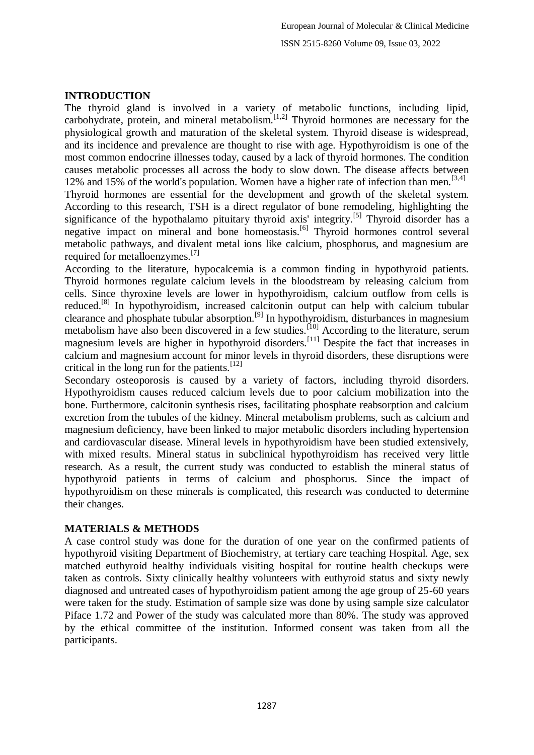#### **INTRODUCTION**

The thyroid gland is involved in a variety of metabolic functions, including lipid, carbohydrate, protein, and mineral metabolism. $[1,2]$  Thyroid hormones are necessary for the physiological growth and maturation of the skeletal system. Thyroid disease is widespread, and its incidence and prevalence are thought to rise with age. Hypothyroidism is one of the most common endocrine illnesses today, caused by a lack of thyroid hormones. The condition causes metabolic processes all across the body to slow down. The disease affects between 12% and 15% of the world's population. Women have a higher rate of infection than men.<sup>[3,4]</sup> Thyroid hormones are essential for the development and growth of the skeletal system. According to this research, TSH is a direct regulator of bone remodeling, highlighting the significance of the hypothalamo pituitary thyroid axis' integrity.<sup>[5]</sup> Thyroid disorder has a negative impact on mineral and bone homeostasis.[6] Thyroid hormones control several metabolic pathways, and divalent metal ions like calcium, phosphorus, and magnesium are required for metalloenzymes.[7]

According to the literature, hypocalcemia is a common finding in hypothyroid patients. Thyroid hormones regulate calcium levels in the bloodstream by releasing calcium from cells. Since thyroxine levels are lower in hypothyroidism, calcium outflow from cells is reduced.[8] In hypothyroidism, increased calcitonin output can help with calcium tubular clearance and phosphate tubular absorption.[9] In hypothyroidism, disturbances in magnesium metabolism have also been discovered in a few studies.<sup>[10]</sup> According to the literature, serum magnesium levels are higher in hypothyroid disorders.<sup>[11]</sup> Despite the fact that increases in calcium and magnesium account for minor levels in thyroid disorders, these disruptions were critical in the long run for the patients.[12]

Secondary osteoporosis is caused by a variety of factors, including thyroid disorders. Hypothyroidism causes reduced calcium levels due to poor calcium mobilization into the bone. Furthermore, calcitonin synthesis rises, facilitating phosphate reabsorption and calcium excretion from the tubules of the kidney. Mineral metabolism problems, such as calcium and magnesium deficiency, have been linked to major metabolic disorders including hypertension and cardiovascular disease. Mineral levels in hypothyroidism have been studied extensively, with mixed results. Mineral status in subclinical hypothyroidism has received very little research. As a result, the current study was conducted to establish the mineral status of hypothyroid patients in terms of calcium and phosphorus. Since the impact of hypothyroidism on these minerals is complicated, this research was conducted to determine their changes.

# **MATERIALS & METHODS**

A case control study was done for the duration of one year on the confirmed patients of hypothyroid visiting Department of Biochemistry, at tertiary care teaching Hospital. Age, sex matched euthyroid healthy individuals visiting hospital for routine health checkups were taken as controls. Sixty clinically healthy volunteers with euthyroid status and sixty newly diagnosed and untreated cases of hypothyroidism patient among the age group of 25-60 years were taken for the study. Estimation of sample size was done by using sample size calculator Piface 1.72 and Power of the study was calculated more than 80%. The study was approved by the ethical committee of the institution. Informed consent was taken from all the participants.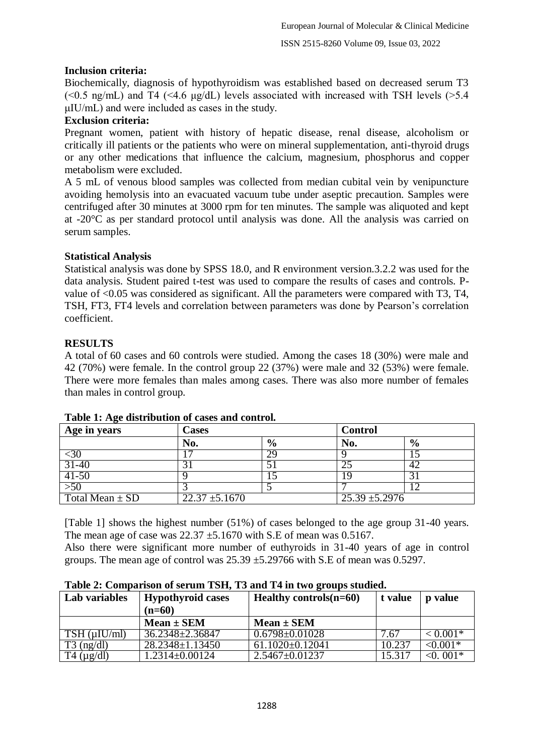# **Inclusion criteria:**

Biochemically, diagnosis of hypothyroidism was established based on decreased serum T3 ( $\leq 0.5$  ng/mL) and T4 ( $\leq 4.6$  ug/dL) levels associated with increased with TSH levels ( $\geq 5.4$ ) μIU/mL) and were included as cases in the study.

#### **Exclusion criteria:**

Pregnant women, patient with history of hepatic disease, renal disease, alcoholism or critically ill patients or the patients who were on mineral supplementation, anti-thyroid drugs or any other medications that influence the calcium, magnesium, phosphorus and copper metabolism were excluded.

A 5 mL of venous blood samples was collected from median cubital vein by venipuncture avoiding hemolysis into an evacuated vacuum tube under aseptic precaution. Samples were centrifuged after 30 minutes at 3000 rpm for ten minutes. The sample was aliquoted and kept at -20°C as per standard protocol until analysis was done. All the analysis was carried on serum samples.

# **Statistical Analysis**

Statistical analysis was done by SPSS 18.0, and R environment version.3.2.2 was used for the data analysis. Student paired t-test was used to compare the results of cases and controls. Pvalue of <0.05 was considered as significant. All the parameters were compared with T3, T4, TSH, FT3, FT4 levels and correlation between parameters was done by Pearson's correlation coefficient.

# **RESULTS**

A total of 60 cases and 60 controls were studied. Among the cases 18 (30%) were male and 42 (70%) were female. In the control group 22 (37%) were male and 32 (53%) were female. There were more females than males among cases. There was also more number of females than males in control group.

| Age in years        | Cases              |               | <b>Control</b>   |               |
|---------------------|--------------------|---------------|------------------|---------------|
|                     | No.                | $\frac{6}{9}$ | No.              | $\frac{6}{9}$ |
| $30$                |                    | 29            |                  |               |
| $31 - 40$           |                    |               |                  | 42            |
| $41-50$             |                    |               |                  |               |
| $>50$               |                    |               |                  | $\sqrt{2}$    |
| Total Mean $\pm$ SD | $22.37 \pm 5.1670$ |               | $25.39 + 5.2976$ |               |

#### **Table 1: Age distribution of cases and control.**

[Table 1] shows the highest number (51%) of cases belonged to the age group 31-40 years. The mean age of case was  $22.37 \pm 5.1670$  with S.E of mean was 0.5167.

Also there were significant more number of euthyroids in 31-40 years of age in control groups. The mean age of control was  $25.39 \pm 5.29766$  with S.E of mean was 0.5297.

| Lab variables        | <b>Hypothyroid cases</b> | Healthy controls $(n=60)$       | t value | p value       |
|----------------------|--------------------------|---------------------------------|---------|---------------|
|                      | $(n=60)$                 |                                 |         |               |
|                      | $Mean \pm SEM$           | $Mean \pm SEM$                  |         |               |
| $TSH$ ( $\mu$ IU/ml) | 36.2348 ± 2.36847        | $0.6798 \pm 0.01028$            | 7.67    | $< 0.001*$    |
| $T3$ (ng/dl)         | $28.2348 \pm 1.13450$    | $61.1020\overline{\pm 0.12041}$ | 10.237  | $\leq 0.001*$ |
| $T4 \text{ (µg/dl)}$ | $1.2314\pm0.00124$       | $2.5467 \pm 0.01237$            | 15.317  | $<0.001*$     |

**Table 2: Comparison of serum TSH, T3 and T4 in two groups studied.**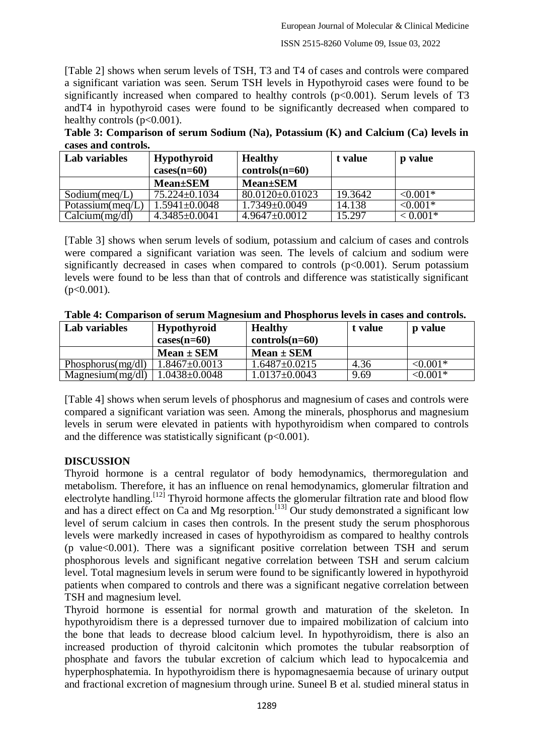[Table 2] shows when serum levels of TSH, T3 and T4 of cases and controls were compared a significant variation was seen. Serum TSH levels in Hypothyroid cases were found to be significantly increased when compared to healthy controls  $(p<0.001)$ . Serum levels of T3 andT4 in hypothyroid cases were found to be significantly decreased when compared to healthy controls ( $p<0.001$ ).

**Table 3: Comparison of serum Sodium (Na), Potassium (K) and Calcium (Ca) levels in cases and controls.**

| Lab variables        | <b>Hypothyroid</b>  | <b>Healthy</b>        | t value | p value       |
|----------------------|---------------------|-----------------------|---------|---------------|
|                      | $cases(n=60)$       | $controls(n=60)$      |         |               |
|                      | <b>Mean</b> ±SEM    | <b>Mean</b> ±SEM      |         |               |
| Sodium(meq/L)        | 75.224±0.1034       | $80.0120 \pm 0.01023$ | 19.3642 | $< 0.001*$    |
| Potassium( $meq/L$ ) | $1.5941 \pm 0.0048$ | $1.7349 \pm 0.0049$   | 14.138  | $\leq 0.001*$ |
| Calcium(mg/dl)       | $4.3485 \pm 0.0041$ | $4.9647\pm0.0012$     | 15.297  | $< 0.001*$    |

[Table 3] shows when serum levels of sodium, potassium and calcium of cases and controls were compared a significant variation was seen. The levels of calcium and sodium were significantly decreased in cases when compared to controls  $(p<0.001)$ . Serum potassium levels were found to be less than that of controls and difference was statistically significant  $(p<0.001)$ .

| Lab variables        | <b>Hypothyroid</b>  | <b>Healthy</b>      | t value | <b>p</b> value |
|----------------------|---------------------|---------------------|---------|----------------|
|                      | $cases(n=60)$       | $controls(n=60)$    |         |                |
|                      | $Mean \pm SEM$      | $Mean \pm SEM$      |         |                |
| Phosphorus $(mg/dl)$ | $1.8467 \pm 0.0013$ | $1.6487 \pm 0.0215$ | 4.36    | $< 0.001*$     |
| Magnesium(mg/dl)     | $.0438 \pm 0.0048$  | 1.0137±0.0043       | 9.69    | ${<}0.001*$    |

|  |  |  | Table 4: Comparison of serum Magnesium and Phosphorus levels in cases and controls. |
|--|--|--|-------------------------------------------------------------------------------------|
|  |  |  |                                                                                     |

[Table 4] shows when serum levels of phosphorus and magnesium of cases and controls were compared a significant variation was seen. Among the minerals, phosphorus and magnesium levels in serum were elevated in patients with hypothyroidism when compared to controls and the difference was statistically significant  $(p<0.001)$ .

# **DISCUSSION**

Thyroid hormone is a central regulator of body hemodynamics, thermoregulation and metabolism. Therefore, it has an influence on renal hemodynamics, glomerular filtration and electrolyte handling.<sup>[12]</sup> Thyroid hormone affects the glomerular filtration rate and blood flow and has a direct effect on  $\tilde{C}a$  and Mg resorption.<sup>[13]</sup> Our study demonstrated a significant low level of serum calcium in cases then controls. In the present study the serum phosphorous levels were markedly increased in cases of hypothyroidism as compared to healthy controls (p value<0.001). There was a significant positive correlation between TSH and serum phosphorous levels and significant negative correlation between TSH and serum calcium level. Total magnesium levels in serum were found to be significantly lowered in hypothyroid patients when compared to controls and there was a significant negative correlation between TSH and magnesium level.

Thyroid hormone is essential for normal growth and maturation of the skeleton. In hypothyroidism there is a depressed turnover due to impaired mobilization of calcium into the bone that leads to decrease blood calcium level. In hypothyroidism, there is also an increased production of thyroid calcitonin which promotes the tubular reabsorption of phosphate and favors the tubular excretion of calcium which lead to hypocalcemia and hyperphosphatemia. In hypothyroidism there is hypomagnesaemia because of urinary output and fractional excretion of magnesium through urine. Suneel B et al. studied mineral status in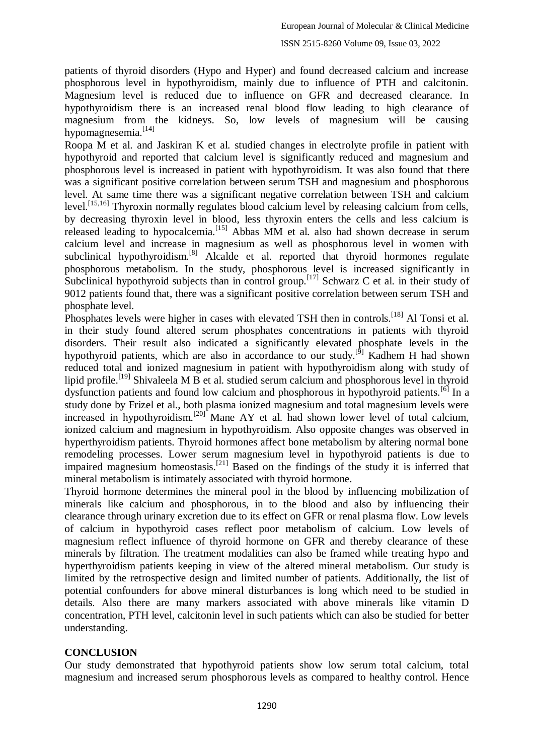patients of thyroid disorders (Hypo and Hyper) and found decreased calcium and increase phosphorous level in hypothyroidism, mainly due to influence of PTH and calcitonin. Magnesium level is reduced due to influence on GFR and decreased clearance. In hypothyroidism there is an increased renal blood flow leading to high clearance of magnesium from the kidneys. So, low levels of magnesium will be causing hypomagnesemia.<sup>[14]</sup>

Roopa M et al. and Jaskiran K et al. studied changes in electrolyte profile in patient with hypothyroid and reported that calcium level is significantly reduced and magnesium and phosphorous level is increased in patient with hypothyroidism. It was also found that there was a significant positive correlation between serum TSH and magnesium and phosphorous level. At same time there was a significant negative correlation between TSH and calcium level.<sup>[15,16]</sup> Thyroxin normally regulates blood calcium level by releasing calcium from cells, by decreasing thyroxin level in blood, less thyroxin enters the cells and less calcium is released leading to hypocalcemia.[15] Abbas MM et al. also had shown decrease in serum calcium level and increase in magnesium as well as phosphorous level in women with subclinical hypothyroidism.<sup>[8]</sup> Alcalde et al. reported that thyroid hormones regulate phosphorous metabolism. In the study, phosphorous level is increased significantly in Subclinical hypothyroid subjects than in control group.<sup>[17]</sup> Schwarz C et al. in their study of 9012 patients found that, there was a significant positive correlation between serum TSH and phosphate level.

Phosphates levels were higher in cases with elevated TSH then in controls.<sup>[18]</sup> Al Tonsi et al. in their study found altered serum phosphates concentrations in patients with thyroid disorders. Their result also indicated a significantly elevated phosphate levels in the hypothyroid patients, which are also in accordance to our study.<sup>[9]</sup> Kadhem H had shown reduced total and ionized magnesium in patient with hypothyroidism along with study of lipid profile.<sup>[19]</sup> Shivaleela M B et al. studied serum calcium and phosphorous level in thyroid dysfunction patients and found low calcium and phosphorous in hypothyroid patients.<sup>[6]</sup> In a study done by Frizel et al., both plasma ionized magnesium and total magnesium levels were increased in hypothyroidism.<sup>[20]</sup> Mane AY et al. had shown lower level of total calcium, ionized calcium and magnesium in hypothyroidism. Also opposite changes was observed in hyperthyroidism patients. Thyroid hormones affect bone metabolism by altering normal bone remodeling processes. Lower serum magnesium level in hypothyroid patients is due to impaired magnesium homeostasis.<sup>[21]</sup> Based on the findings of the study it is inferred that mineral metabolism is intimately associated with thyroid hormone.

Thyroid hormone determines the mineral pool in the blood by influencing mobilization of minerals like calcium and phosphorous, in to the blood and also by influencing their clearance through urinary excretion due to its effect on GFR or renal plasma flow. Low levels of calcium in hypothyroid cases reflect poor metabolism of calcium. Low levels of magnesium reflect influence of thyroid hormone on GFR and thereby clearance of these minerals by filtration. The treatment modalities can also be framed while treating hypo and hyperthyroidism patients keeping in view of the altered mineral metabolism. Our study is limited by the retrospective design and limited number of patients. Additionally, the list of potential confounders for above mineral disturbances is long which need to be studied in details. Also there are many markers associated with above minerals like vitamin D concentration, PTH level, calcitonin level in such patients which can also be studied for better understanding.

# **CONCLUSION**

Our study demonstrated that hypothyroid patients show low serum total calcium, total magnesium and increased serum phosphorous levels as compared to healthy control. Hence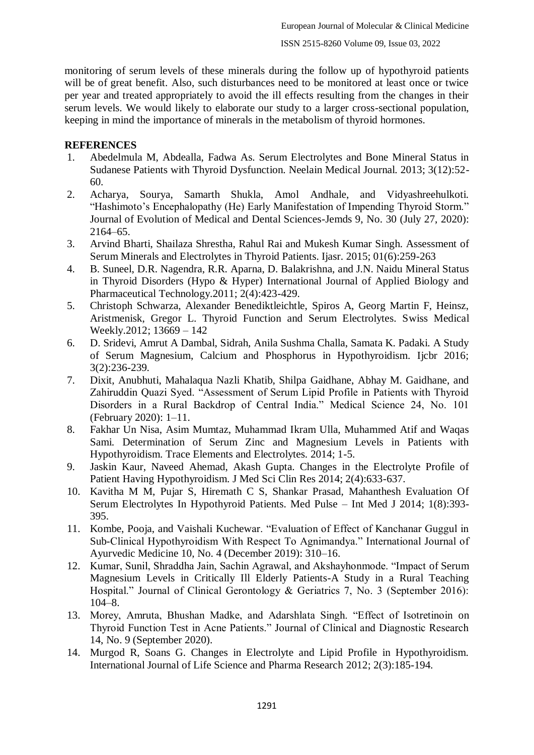monitoring of serum levels of these minerals during the follow up of hypothyroid patients will be of great benefit. Also, such disturbances need to be monitored at least once or twice per year and treated appropriately to avoid the ill effects resulting from the changes in their serum levels. We would likely to elaborate our study to a larger cross-sectional population, keeping in mind the importance of minerals in the metabolism of thyroid hormones.

# **REFERENCES**

- 1. Abedelmula M, Abdealla, Fadwa As. Serum Electrolytes and Bone Mineral Status in Sudanese Patients with Thyroid Dysfunction. Neelain Medical Journal. 2013; 3(12):52- 60.
- 2. Acharya, Sourya, Samarth Shukla, Amol Andhale, and Vidyashreehulkoti. "Hashimoto's Encephalopathy (He) Early Manifestation of Impending Thyroid Storm." Journal of Evolution of Medical and Dental Sciences-Jemds 9, No. 30 (July 27, 2020): 2164–65.
- 3. Arvind Bharti, Shailaza Shrestha, Rahul Rai and Mukesh Kumar Singh. Assessment of Serum Minerals and Electrolytes in Thyroid Patients. Ijasr. 2015; 01(6):259-263
- 4. B. Suneel, D.R. Nagendra, R.R. Aparna, D. Balakrishna, and J.N. Naidu Mineral Status in Thyroid Disorders (Hypo & Hyper) International Journal of Applied Biology and Pharmaceutical Technology.2011; 2(4):423-429.
- 5. Christoph Schwarza, Alexander Benediktleichtle, Spiros A, Georg Martin F, Heinsz, Aristmenisk, Gregor L. Thyroid Function and Serum Electrolytes. Swiss Medical Weekly.2012; 13669 – 142
- 6. D. Sridevi, Amrut A Dambal, Sidrah, Anila Sushma Challa, Samata K. Padaki. A Study of Serum Magnesium, Calcium and Phosphorus in Hypothyroidism. Ijcbr 2016; 3(2):236-239.
- 7. Dixit, Anubhuti, Mahalaqua Nazli Khatib, Shilpa Gaidhane, Abhay M. Gaidhane, and Zahiruddin Quazi Syed. "Assessment of Serum Lipid Profile in Patients with Thyroid Disorders in a Rural Backdrop of Central India." Medical Science 24, No. 101 (February 2020): 1–11.
- 8. Fakhar Un Nisa, Asim Mumtaz, Muhammad Ikram Ulla, Muhammed Atif and Waqas Sami. Determination of Serum Zinc and Magnesium Levels in Patients with Hypothyroidism. Trace Elements and Electrolytes. 2014; 1-5.
- 9. Jaskin Kaur, Naveed Ahemad, Akash Gupta. Changes in the Electrolyte Profile of Patient Having Hypothyroidism. J Med Sci Clin Res 2014; 2(4):633-637.
- 10. Kavitha M M, Pujar S, Hiremath C S, Shankar Prasad, Mahanthesh Evaluation Of Serum Electrolytes In Hypothyroid Patients. Med Pulse – Int Med J 2014; 1(8):393- 395.
- 11. Kombe, Pooja, and Vaishali Kuchewar. "Evaluation of Effect of Kanchanar Guggul in Sub-Clinical Hypothyroidism With Respect To Agnimandya." International Journal of Ayurvedic Medicine 10, No. 4 (December 2019): 310–16.
- 12. Kumar, Sunil, Shraddha Jain, Sachin Agrawal, and Akshayhonmode. "Impact of Serum Magnesium Levels in Critically Ill Elderly Patients-A Study in a Rural Teaching Hospital." Journal of Clinical Gerontology & Geriatrics 7, No. 3 (September 2016): 104–8.
- 13. Morey, Amruta, Bhushan Madke, and Adarshlata Singh. "Effect of Isotretinoin on Thyroid Function Test in Acne Patients." Journal of Clinical and Diagnostic Research 14, No. 9 (September 2020).
- 14. Murgod R, Soans G. Changes in Electrolyte and Lipid Profile in Hypothyroidism. International Journal of Life Science and Pharma Research 2012; 2(3):185-194.